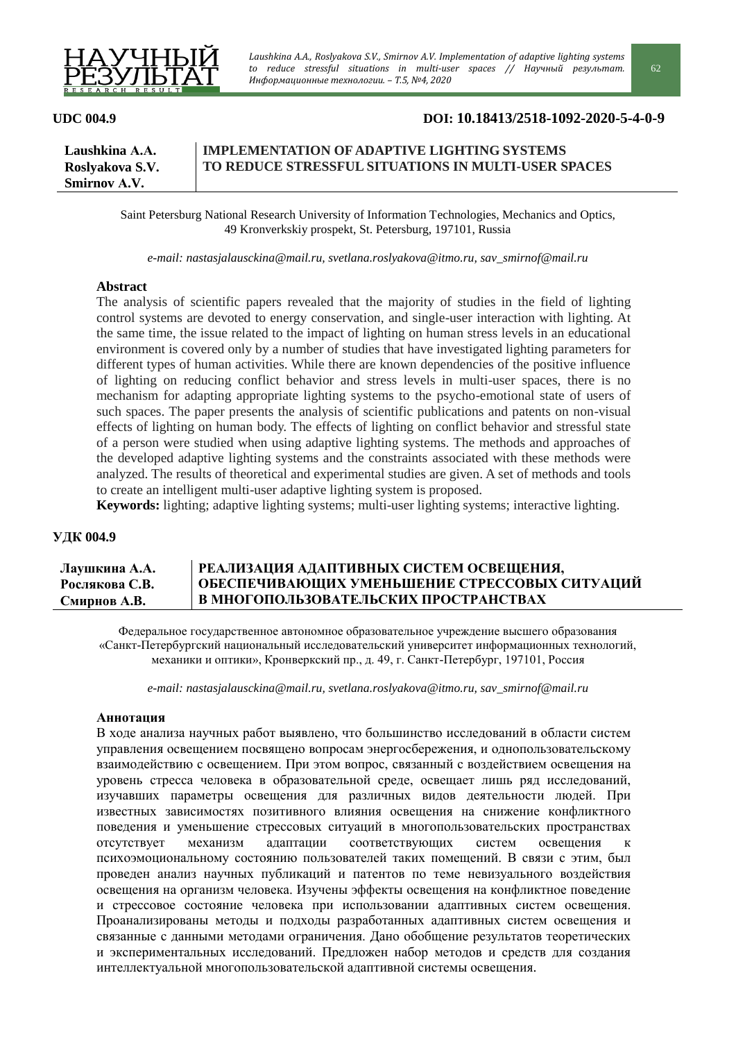

# **UDC 004.9 DOI: 10.18413/2518-1092-2020-5-4-0-9**

| Laushkina A.A.      | <b>IMPLEMENTATION OF ADAPTIVE LIGHTING SYSTEMS</b>  |
|---------------------|-----------------------------------------------------|
| Roslyakova S.V.     | TO REDUCE STRESSFUL SITUATIONS IN MULTI-USER SPACES |
| <b>Smirnov A.V.</b> |                                                     |

Saint Petersburg National Research University of Information Technologies, Mechanics and Optics, 49 Kronverkskiy prospekt, St. Petersburg, 197101, Russia

*e-mail: nastasjalausckina@mail.ru, svetlana.roslyakova@itmo.ru, sav\_smirnof@mail.ru*

### **Abstract**

The analysis of scientific papers revealed that the majority of studies in the field of lighting control systems are devoted to energy conservation, and single-user interaction with lighting. At the same time, the issue related to the impact of lighting on human stress levels in an educational environment is covered only by a number of studies that have investigated lighting parameters for different types of human activities. While there are known dependencies of the positive influence of lighting on reducing conflict behavior and stress levels in multi-user spaces, there is no mechanism for adapting appropriate lighting systems to the psycho-emotional state of users of such spaces. The paper presents the analysis of scientific publications and patents on non-visual effects of lighting on human body. The effects of lighting on conflict behavior and stressful state of a person were studied when using adaptive lighting systems. The methods and approaches of the developed adaptive lighting systems and the constraints associated with these methods were analyzed. The results of theoretical and experimental studies are given. A set of methods and tools to create an intelligent multi-user adaptive lighting system is proposed.

**Keywords:** lighting; adaptive lighting systems; multi-user lighting systems; interactive lighting.

## **УДК 004.9**

#### **Лаушкина А.А. Рослякова С.В. Смирнов А.В. РЕАЛИЗАЦИЯ АДАПТИВНЫХ СИСТЕМ ОСВЕЩЕНИЯ, ОБЕСПЕЧИВАЮЩИХ УМЕНЬШЕНИЕ СТРЕССОВЫХ СИТУАЦИЙ В МНОГОПОЛЬЗОВАТЕЛЬСКИХ ПРОСТРАНСТВАХ**

Федеральное государственное автономное образовательное учреждение высшего образования «Санкт-Петербургский национальный исследовательский университет информационных технологий, механики и оптики», Кронверкский пр., д. 49, г. Санкт-Петербург, 197101, Россия

*e-mail: nastasjalausckina@mail.ru, svetlana.roslyakova@itmo.ru, sav\_smirnof@mail.ru*

#### **Аннотация**

В ходе анализа научных работ выявлено, что большинство исследований в области систем управления освещением посвящено вопросам энергосбережения, и однопользовательскому взаимодействию с освещением. При этом вопрос, связанный с воздействием освещения на уровень стресса человека в образовательной среде, освещает лишь ряд исследований, изучавших параметры освещения для различных видов деятельности людей. При известных зависимостях позитивного влияния освещения на снижение конфликтного поведения и уменьшение стрессовых ситуаций в многопользовательских пространствах отсутствует механизм адаптации соответствующих систем освещения к психоэмоциональному состоянию пользователей таких помещений. В связи с этим, был проведен анализ научных публикаций и патентов по теме невизуального воздействия освещения на организм человека. Изучены эффекты освещения на конфликтное поведение и стрессовое состояние человека при использовании адаптивных систем освещения. Проанализированы методы и подходы разработанных адаптивных систем освещения и связанные с данными методами ограничения. Дано обобщение результатов теоретических и экспериментальных исследований. Предложен набор методов и средств для создания интеллектуальной многопользовательской адаптивной системы освещения.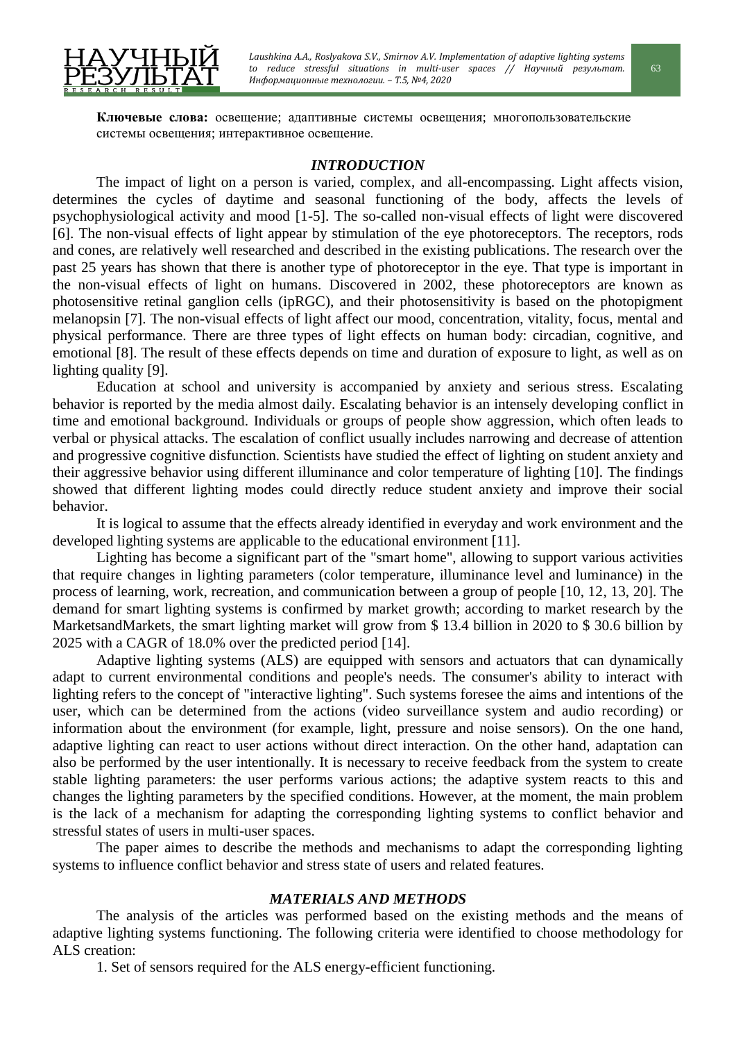

**Ключевые слова:** освещение; адаптивные системы освещения; многопользовательские системы освещения; интерактивное освещение.

# *INTRODUCTION*

The impact of light on a person is varied, complex, and all-encompassing. Light affects vision, determines the cycles of daytime and seasonal functioning of the body, affects the levels of psychophysiological activity and mood [1-5]. The so-called non-visual effects of light were discovered [6]. The non-visual effects of light appear by stimulation of the eye photoreceptors. The receptors, rods and cones, are relatively well researched and described in the existing publications. The research over the past 25 years has shown that there is another type of photoreceptor in the eye. That type is important in the non-visual effects of light on humans. Discovered in 2002, these photoreceptors are known as photosensitive retinal ganglion cells (ipRGC), and their photosensitivity is based on the photopigment melanopsin [7]. The non-visual effects of light affect our mood, concentration, vitality, focus, mental and physical performance. There are three types of light effects on human body: circadian, cognitive, and emotional [8]. The result of these effects depends on time and duration of exposure to light, as well as on lighting quality [9].

Education at school and university is accompanied by anxiety and serious stress. Escalating behavior is reported by the media almost daily. Escalating behavior is an intensely developing conflict in time and emotional background. Individuals or groups of people show aggression, which often leads to verbal or physical attacks. The escalation of conflict usually includes narrowing and decrease of attention and progressive cognitive disfunction. Scientists have studied the effect of lighting on student anxiety and their aggressive behavior using different illuminance and color temperature of lighting [10]. The findings showed that different lighting modes could directly reduce student anxiety and improve their social behavior.

It is logical to assume that the effects already identified in everyday and work environment and the developed lighting systems are applicable to the educational environment [11].

Lighting has become a significant part of the "smart home", allowing to support various activities that require changes in lighting parameters (color temperature, illuminance level and luminance) in the process of learning, work, recreation, and communication between a group of people [10, 12, 13, 20]. The demand for smart lighting systems is confirmed by market growth; according to market research by the MarketsandMarkets, the smart lighting market will grow from \$ 13.4 billion in 2020 to \$ 30.6 billion by 2025 with a CAGR of 18.0% over the predicted period [14].

Adaptive lighting systems (ALS) are equipped with sensors and actuators that can dynamically adapt to current environmental conditions and people's needs. The consumer's ability to interact with lighting refers to the concept of "interactive lighting". Such systems foresee the aims and intentions of the user, which can be determined from the actions (video surveillance system and audio recording) or information about the environment (for example, light, pressure and noise sensors). On the one hand, adaptive lighting can react to user actions without direct interaction. On the other hand, adaptation can also be performed by the user intentionally. It is necessary to receive feedback from the system to create stable lighting parameters: the user performs various actions; the adaptive system reacts to this and changes the lighting parameters by the specified conditions. However, at the moment, the main problem is the lack of a mechanism for adapting the corresponding lighting systems to conflict behavior and stressful states of users in multi-user spaces.

The paper aimes to describe the methods and mechanisms to adapt the corresponding lighting systems to influence conflict behavior and stress state of users and related features.

# *MATERIALS AND METHODS*

The analysis of the articles was performed based on the existing methods and the means of adaptive lighting systems functioning. The following criteria were identified to choose methodology for ALS creation:

1. Set of sensors required for the ALS energy-efficient functioning.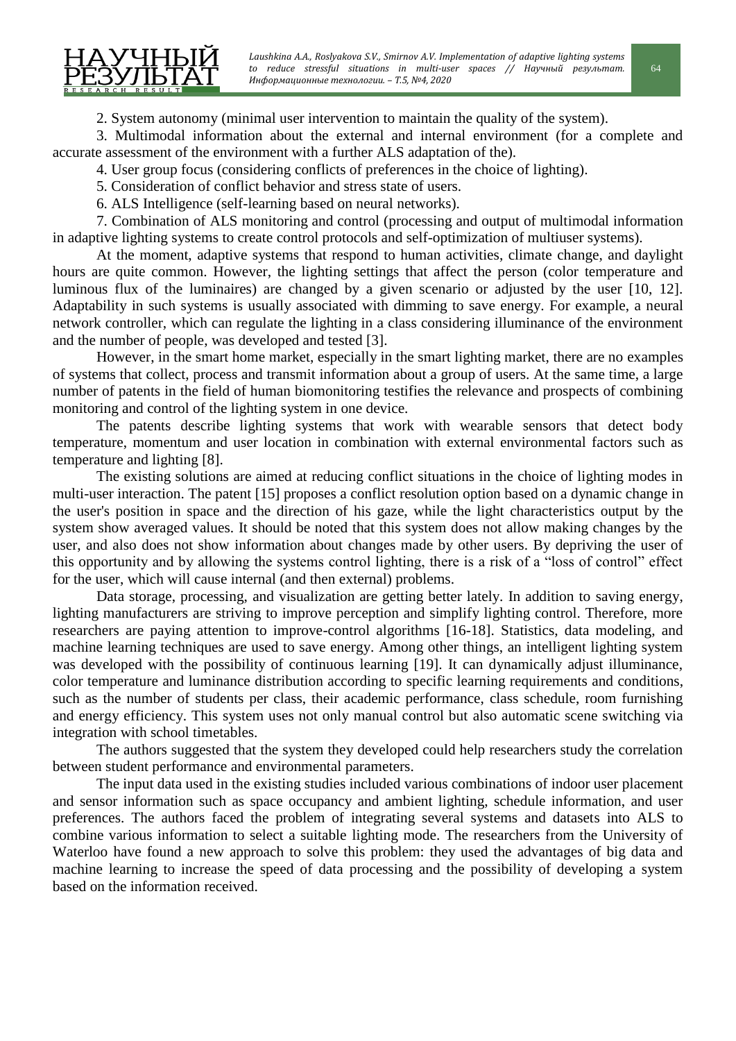2. System autonomy (minimal user intervention to maintain the quality of the system).

3. Multimodal information about the external and internal environment (for a complete and accurate assessment of the environment with a further ALS adaptation of the).

4. User group focus (considering conflicts of preferences in the choice of lighting).

5. Consideration of conflict behavior and stress state of users.

6. ALS Intelligence (self-learning based on neural networks).

7. Combination of ALS monitoring and control (processing and output of multimodal information in adaptive lighting systems to create control protocols and self-optimization of multiuser systems).

At the moment, adaptive systems that respond to human activities, climate change, and daylight hours are quite common. However, the lighting settings that affect the person (color temperature and luminous flux of the luminaires) are changed by a given scenario or adjusted by the user [10, 12]. Adaptability in such systems is usually associated with dimming to save energy. For example, a neural network controller, which can regulate the lighting in a class considering illuminance of the environment and the number of people, was developed and tested [3].

However, in the smart home market, especially in the smart lighting market, there are no examples of systems that collect, process and transmit information about a group of users. At the same time, a large number of patents in the field of human biomonitoring testifies the relevance and prospects of combining monitoring and control of the lighting system in one device.

The patents describe lighting systems that work with wearable sensors that detect body temperature, momentum and user location in combination with external environmental factors such as temperature and lighting [8].

The existing solutions are aimed at reducing conflict situations in the choice of lighting modes in multi-user interaction. The patent [15] proposes a conflict resolution option based on a dynamic change in the user's position in space and the direction of his gaze, while the light characteristics output by the system show averaged values. It should be noted that this system does not allow making changes by the user, and also does not show information about changes made by other users. By depriving the user of this opportunity and by allowing the systems control lighting, there is a risk of a "loss of control" effect for the user, which will cause internal (and then external) problems.

Data storage, processing, and visualization are getting better lately. In addition to saving energy, lighting manufacturers are striving to improve perception and simplify lighting control. Therefore, more researchers are paying attention to improve-control algorithms [16-18]. Statistics, data modeling, and machine learning techniques are used to save energy. Among other things, an intelligent lighting system was developed with the possibility of continuous learning [19]. It can dynamically adjust illuminance, color temperature and luminance distribution according to specific learning requirements and conditions, such as the number of students per class, their academic performance, class schedule, room furnishing and energy efficiency. This system uses not only manual control but also automatic scene switching via integration with school timetables.

The authors suggested that the system they developed could help researchers study the correlation between student performance and environmental parameters.

The input data used in the existing studies included various combinations of indoor user placement and sensor information such as space occupancy and ambient lighting, schedule information, and user preferences. The authors faced the problem of integrating several systems and datasets into ALS to combine various information to select a suitable lighting mode. The researchers from the University of Waterloo have found a new approach to solve this problem: they used the advantages of big data and machine learning to increase the speed of data processing and the possibility of developing a system based on the information received.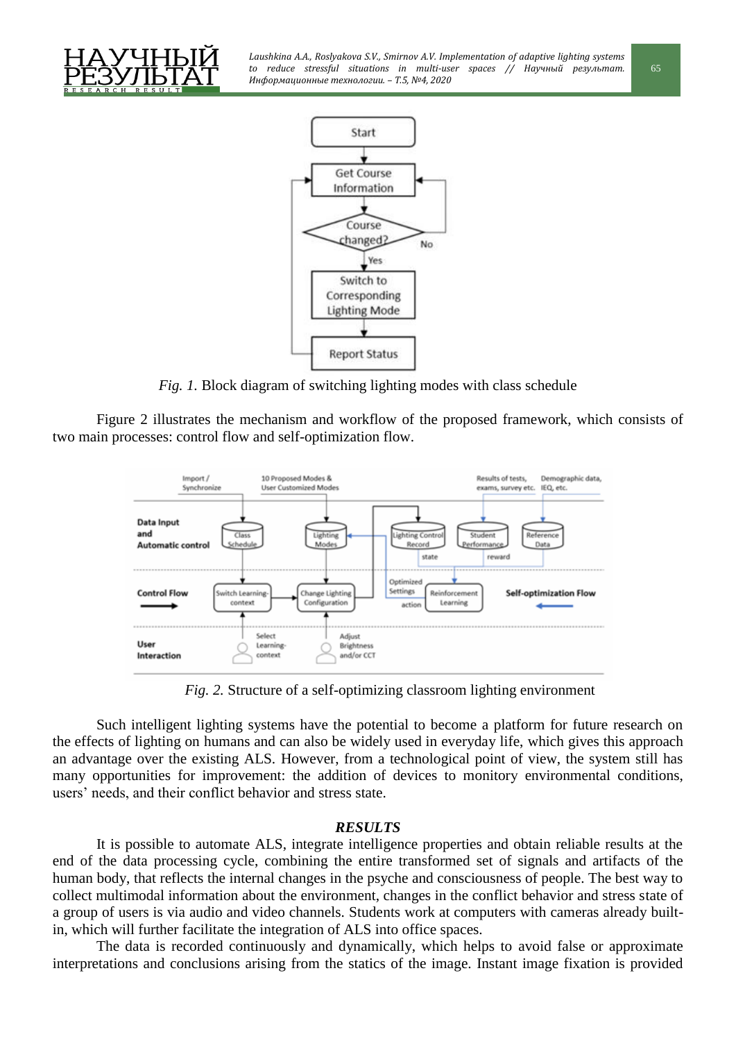



*Fig. 1.* Block diagram of switching lighting modes with class schedule

Figure 2 illustrates the mechanism and workflow of the proposed framework, which consists of two main processes: control flow and self-optimization flow.



*Fig. 2.* Structure of a self-optimizing classroom lighting environment

Such intelligent lighting systems have the potential to become a platform for future research on the effects of lighting on humans and can also be widely used in everyday life, which gives this approach an advantage over the existing ALS. However, from a technological point of view, the system still has many opportunities for improvement: the addition of devices to monitorу environmental conditions, users' needs, and their conflict behavior and stress state.

# *RESULTS*

It is possible to automate ALS, integrate intelligence properties and obtain reliable results at the end of the data processing cycle, combining the entire transformed set of signals and artifacts of the human body, that reflects the internal changes in the psyche and consciousness of people. The best way to collect multimodal information about the environment, changes in the conflict behavior and stress state of a group of users is via audio and video channels. Students work at computers with cameras already builtin, which will further facilitate the integration of ALS into office spaces.

The data is recorded continuously and dynamically, which helps to avoid false or approximate interpretations and conclusions arising from the statics of the image. Instant image fixation is provided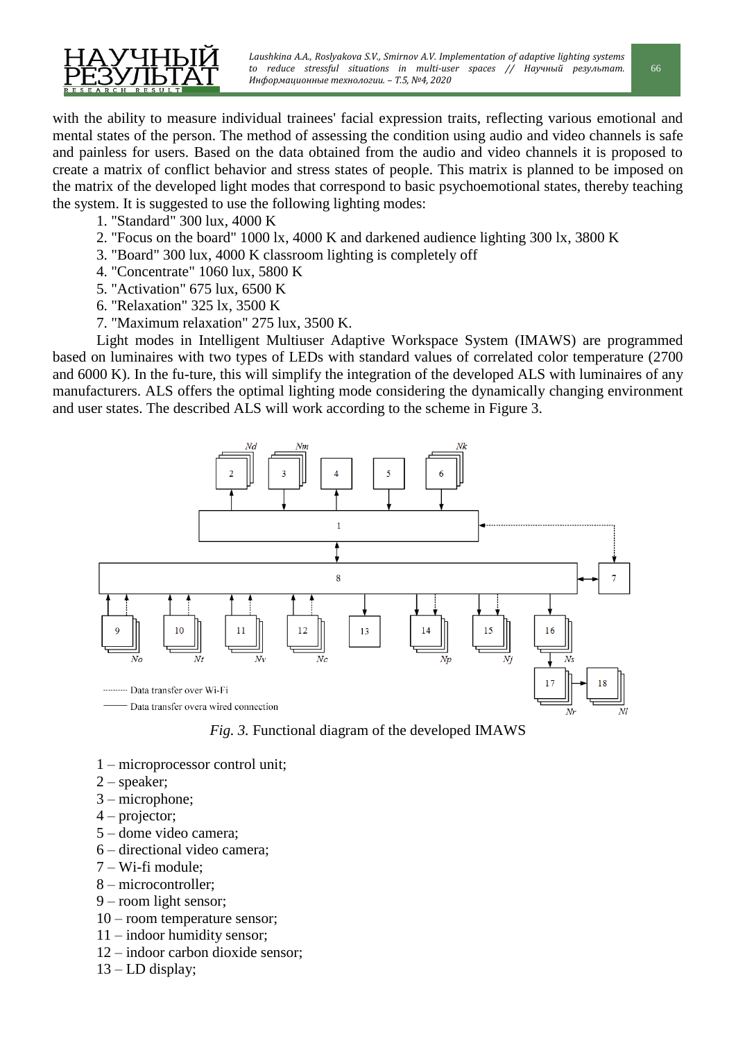

with the ability to measure individual trainees' facial expression traits, reflecting various emotional and mental states of the person. The method of assessing the condition using audio and video channels is safe and painless for users. Based on the data obtained from the audio and video channels it is proposed to create a matrix of conflict behavior and stress states of people. This matrix is planned to be imposed on the matrix of the developed light modes that correspond to basic psychoemotional states, thereby teaching the system. It is suggested to use the following lighting modes:

- 1. "Standard" 300 lux, 4000 K
- 2. "Focus on the board" 1000 lx, 4000 K and darkened audience lighting 300 lx, 3800 K
- 3. "Board" 300 lux, 4000 K classroom lighting is completely off
- 4. "Concentrate" 1060 lux, 5800 K
- 5. "Activation" 675 lux, 6500 K
- 6. "Relaxation" 325 lx, 3500 K
- 7. "Maximum relaxation" 275 lux, 3500 K.

Light modes in Intelligent Multiuser Adaptive Workspace System (IMAWS) are programmed based on luminaires with two types of LEDs with standard values of correlated color temperature (2700 and 6000 K). In the fu-ture, this will simplify the integration of the developed ALS with luminaires of any manufacturers. ALS offers the optimal lighting mode considering the dynamically changing environment and user states. The described ALS will work according to the scheme in Figure 3.



*Fig. 3.* Functional diagram of the developed IMAWS

- 1 microprocessor control unit;
- 2 speaker;
- 3 microphone;
- 4 projector;
- 5 dome video camera;
- 6 directional video camera;
- 7 Wi-fi module;
- 8 microcontroller;
- 9 room light sensor;
- 10 room temperature sensor;
- 11 indoor humidity sensor;
- 12 indoor carbon dioxide sensor;
- $13$  LD display;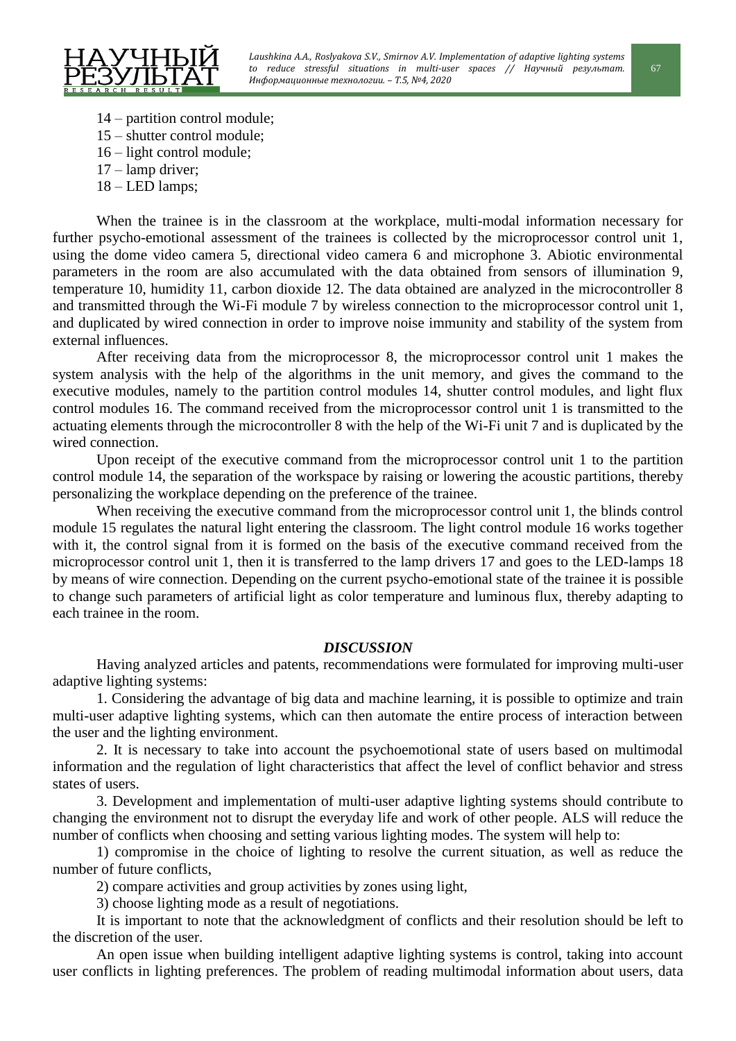

- 14 partition control module;
- 15 shutter control module;
- 16 light control module;
- 17 lamp driver;
- 18 LED lamps;

When the trainee is in the classroom at the workplace, multi-modal information necessary for further psycho-emotional assessment of the trainees is collected by the microprocessor control unit 1, using the dome video camera 5, directional video camera 6 and microphone 3. Abiotic environmental parameters in the room are also accumulated with the data obtained from sensors of illumination 9, temperature 10, humidity 11, carbon dioxide 12. The data obtained are analyzed in the microcontroller 8 and transmitted through the Wi-Fi module 7 by wireless connection to the microprocessor control unit 1, and duplicated by wired connection in order to improve noise immunity and stability of the system from external influences.

After receiving data from the microprocessor 8, the microprocessor control unit 1 makes the system analysis with the help of the algorithms in the unit memory, and gives the command to the executive modules, namely to the partition control modules 14, shutter control modules, and light flux control modules 16. The command received from the microprocessor control unit 1 is transmitted to the actuating elements through the microcontroller 8 with the help of the Wi-Fi unit 7 and is duplicated by the wired connection.

Upon receipt of the executive command from the microprocessor control unit 1 to the partition control module 14, the separation of the workspace by raising or lowering the acoustic partitions, thereby personalizing the workplace depending on the preference of the trainee.

When receiving the executive command from the microprocessor control unit 1, the blinds control module 15 regulates the natural light entering the classroom. The light control module 16 works together with it, the control signal from it is formed on the basis of the executive command received from the microprocessor control unit 1, then it is transferred to the lamp drivers 17 and goes to the LED-lamps 18 by means of wire connection. Depending on the current psycho-emotional state of the trainee it is possible to change such parameters of artificial light as color temperature and luminous flux, thereby adapting to each trainee in the room.

### *DISCUSSION*

Having analyzed articles and patents, recommendations were formulated for improving multi-user adaptive lighting systems:

1. Considering the advantage of big data and machine learning, it is possible to optimize and train multi-user adaptive lighting systems, which can then automate the entire process of interaction between the user and the lighting environment.

2. It is necessary to take into account the psychoemotional state of users based on multimodal information and the regulation of light characteristics that affect the level of conflict behavior and stress states of users.

3. Development and implementation of multi-user adaptive lighting systems should contribute to changing the environment not to disrupt the everyday life and work of other people. ALS will reduce the number of conflicts when choosing and setting various lighting modes. The system will help to:

1) compromise in the choice of lighting to resolve the current situation, as well as reduce the number of future conflicts,

2) compare activities and group activities by zones using light,

3) choose lighting mode as a result of negotiations.

It is important to note that the acknowledgment of conflicts and their resolution should be left to the discretion of the user.

An open issue when building intelligent adaptive lighting systems is control, taking into account user conflicts in lighting preferences. The problem of reading multimodal information about users, data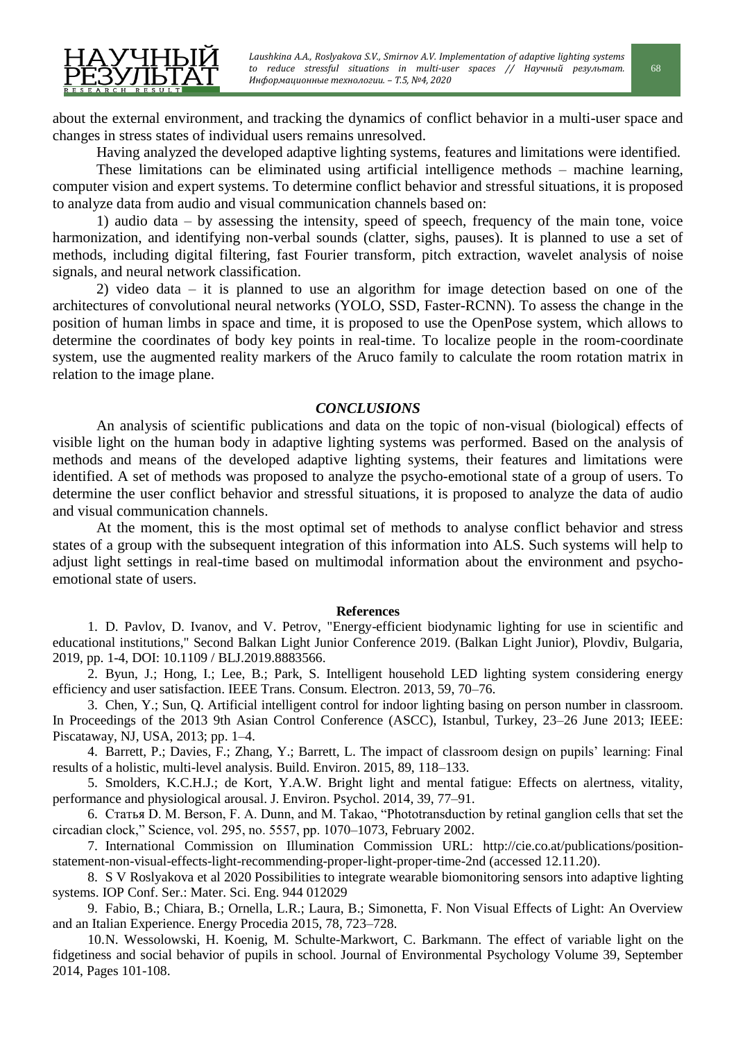about the external environment, and tracking the dynamics of conflict behavior in a multi-user space and changes in stress states of individual users remains unresolved.

Having analyzed the developed adaptive lighting systems, features and limitations were identified.

These limitations can be eliminated using artificial intelligence methods – machine learning, computer vision and expert systems. To determine conflict behavior and stressful situations, it is proposed to analyze data from audio and visual communication channels based on:

1) audio data – by assessing the intensity, speed of speech, frequency of the main tone, voice harmonization, and identifying non-verbal sounds (clatter, sighs, pauses). It is planned to use a set of methods, including digital filtering, fast Fourier transform, pitch extraction, wavelet analysis of noise signals, and neural network classification.

2) video data – it is planned to use an algorithm for image detection based on one of the architectures of convolutional neural networks (YOLO, SSD, Faster-RCNN). To assess the change in the position of human limbs in space and time, it is proposed to use the OpenPose system, which allows to determine the coordinates of body key points in real-time. To localize people in the room-coordinate system, use the augmented reality markers of the Aruco family to calculate the room rotation matrix in relation to the image plane.

## *CONCLUSIONS*

An analysis of scientific publications and data on the topic of non-visual (biological) effects of visible light on the human body in adaptive lighting systems was performed. Based on the analysis of methods and means of the developed adaptive lighting systems, their features and limitations were identified. A set of methods was proposed to analyze the psycho-emotional state of a group of users. To determine the user conflict behavior and stressful situations, it is proposed to analyze the data of audio and visual communication channels.

At the moment, this is the most optimal set of methods to analyse conflict behavior and stress states of a group with the subsequent integration of this information into ALS. Such systems will help to adjust light settings in real-time based on multimodal information about the environment and psychoemotional state of users.

## **References**

1. D. Pavlov, D. Ivanov, and V. Petrov, "Energy-efficient biodynamic lighting for use in scientific and educational institutions," Second Balkan Light Junior Conference 2019. (Balkan Light Junior), Plovdiv, Bulgaria, 2019, pp. 1-4, DOI: 10.1109 / BLJ.2019.8883566.

2. Byun, J.; Hong, I.; Lee, B.; Park, S. Intelligent household LED lighting system considering energy efficiency and user satisfaction. IEEE Trans. Consum. Electron. 2013, 59, 70–76.

3. Chen, Y.; Sun, Q. Artificial intelligent control for indoor lighting basing on person number in classroom. In Proceedings of the 2013 9th Asian Control Conference (ASCC), Istanbul, Turkey, 23–26 June 2013; IEEE: Piscataway, NJ, USA, 2013; pp. 1–4.

4. Barrett, P.; Davies, F.; Zhang, Y.; Barrett, L. The impact of classroom design on pupils' learning: Final results of a holistic, multi-level analysis. Build. Environ. 2015, 89, 118–133.

5. Smolders, K.C.H.J.; de Kort, Y.A.W. Bright light and mental fatigue: Effects on alertness, vitality, performance and physiological arousal. J. Environ. Psychol. 2014, 39, 77–91.

6. Статья D. M. Berson, F. A. Dunn, and M. Takao, "Phototransduction by retinal ganglion cells that set the circadian clock,‖ Science, vol. 295, no. 5557, pp. 1070–1073, February 2002.

7. International Commission on Illumination Commission URL: http://cie.co.at/publications/positionstatement-non-visual-effects-light-recommending-proper-light-proper-time-2nd (accessed 12.11.20).

8. S V Roslyakova et al 2020 Possibilities to integrate wearable biomonitoring sensors into adaptive lighting systems. IOP Conf. Ser.: Mater. Sci. Eng. 944 012029

9. Fabio, B.; Chiara, B.; Ornella, L.R.; Laura, B.; Simonetta, F. Non Visual Effects of Light: An Overview and an Italian Experience. Energy Procedia 2015, 78, 723–728.

10.N. Wessolowski, H. Koenig, M. Schulte-Markwort, C. Barkmann. The effect of variable light on the fidgetiness and social behavior of pupils in school. Journal of Environmental Psychology Volume 39, September 2014, Pages 101-108.